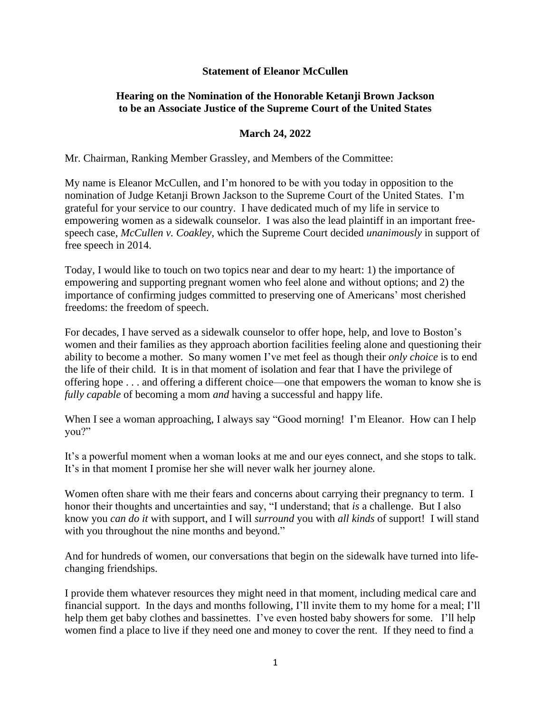## **Statement of Eleanor McCullen**

## **Hearing on the Nomination of the Honorable Ketanji Brown Jackson to be an Associate Justice of the Supreme Court of the United States**

## **March 24, 2022**

Mr. Chairman, Ranking Member Grassley, and Members of the Committee:

My name is Eleanor McCullen, and I'm honored to be with you today in opposition to the nomination of Judge Ketanji Brown Jackson to the Supreme Court of the United States. I'm grateful for your service to our country. I have dedicated much of my life in service to empowering women as a sidewalk counselor. I was also the lead plaintiff in an important freespeech case, *McCullen v. Coakley*, which the Supreme Court decided *unanimously* in support of free speech in 2014.

Today, I would like to touch on two topics near and dear to my heart: 1) the importance of empowering and supporting pregnant women who feel alone and without options; and 2) the importance of confirming judges committed to preserving one of Americans' most cherished freedoms: the freedom of speech.

For decades, I have served as a sidewalk counselor to offer hope, help, and love to Boston's women and their families as they approach abortion facilities feeling alone and questioning their ability to become a mother. So many women I've met feel as though their *only choice* is to end the life of their child. It is in that moment of isolation and fear that I have the privilege of offering hope . . . and offering a different choice—one that empowers the woman to know she is *fully capable* of becoming a mom *and* having a successful and happy life.

When I see a woman approaching, I always say "Good morning! I'm Eleanor. How can I help you?"

It's a powerful moment when a woman looks at me and our eyes connect, and she stops to talk. It's in that moment I promise her she will never walk her journey alone.

Women often share with me their fears and concerns about carrying their pregnancy to term. I honor their thoughts and uncertainties and say, "I understand; that *is* a challenge. But I also know you *can do it* with support, and I will *surround* you with *all kinds* of support! I will stand with you throughout the nine months and beyond."

And for hundreds of women, our conversations that begin on the sidewalk have turned into lifechanging friendships.

I provide them whatever resources they might need in that moment, including medical care and financial support. In the days and months following, I'll invite them to my home for a meal; I'll help them get baby clothes and bassinettes. I've even hosted baby showers for some. I'll help women find a place to live if they need one and money to cover the rent. If they need to find a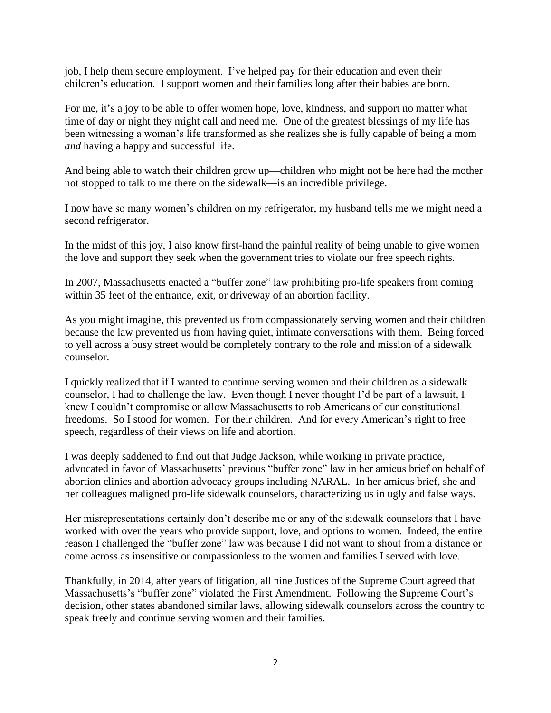job, I help them secure employment. I've helped pay for their education and even their children's education. I support women and their families long after their babies are born.

For me, it's a joy to be able to offer women hope, love, kindness, and support no matter what time of day or night they might call and need me. One of the greatest blessings of my life has been witnessing a woman's life transformed as she realizes she is fully capable of being a mom *and* having a happy and successful life.

And being able to watch their children grow up—children who might not be here had the mother not stopped to talk to me there on the sidewalk—is an incredible privilege.

I now have so many women's children on my refrigerator, my husband tells me we might need a second refrigerator.

In the midst of this joy, I also know first-hand the painful reality of being unable to give women the love and support they seek when the government tries to violate our free speech rights.

In 2007, Massachusetts enacted a "buffer zone" law prohibiting pro-life speakers from coming within 35 feet of the entrance, exit, or driveway of an abortion facility.

As you might imagine, this prevented us from compassionately serving women and their children because the law prevented us from having quiet, intimate conversations with them. Being forced to yell across a busy street would be completely contrary to the role and mission of a sidewalk counselor.

I quickly realized that if I wanted to continue serving women and their children as a sidewalk counselor, I had to challenge the law. Even though I never thought I'd be part of a lawsuit, I knew I couldn't compromise or allow Massachusetts to rob Americans of our constitutional freedoms. So I stood for women. For their children. And for every American's right to free speech, regardless of their views on life and abortion.

I was deeply saddened to find out that Judge Jackson, while working in private practice, advocated in favor of Massachusetts' previous "buffer zone" law in her amicus brief on behalf of abortion clinics and abortion advocacy groups including NARAL. In her amicus brief, she and her colleagues maligned pro-life sidewalk counselors, characterizing us in ugly and false ways.

Her misrepresentations certainly don't describe me or any of the sidewalk counselors that I have worked with over the years who provide support, love, and options to women. Indeed, the entire reason I challenged the "buffer zone" law was because I did not want to shout from a distance or come across as insensitive or compassionless to the women and families I served with love.

Thankfully, in 2014, after years of litigation, all nine Justices of the Supreme Court agreed that Massachusetts's "buffer zone" violated the First Amendment. Following the Supreme Court's decision, other states abandoned similar laws, allowing sidewalk counselors across the country to speak freely and continue serving women and their families.